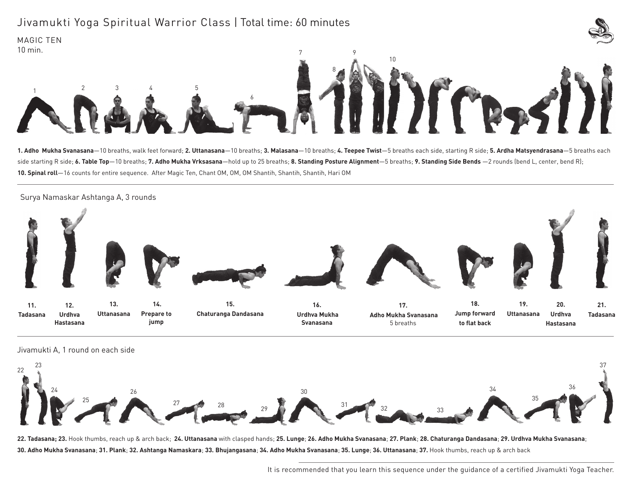## Jivamukti Yoga Spiritual Warrior Class | Total time: 60 minutes





1. Adho Mukha Svanasana-10 breaths, walk feet forward; 2. Uttanasana-10 breaths; 3. Malasana-10 breaths; 4. Teepee Twist-5 breaths each side, starting R side; 5. Ardha Matsyendrasana-5 breaths each side starting R side; **6. Table Top**—10 breaths; **7. Adho Mukha Vrksasana**—hold up to 25 breaths; **8. Standing Posture Alignment**—5 breaths; **9. Standing Side Bends** —2 rounds (bend L, center, bend R); **10. Spinal roll**—16 counts for entire sequence. After Magic Ten, Chant OM, OM, OM Shantih, Shantih, Shantih, Hari OM





MAGIC TEN



22. Tadasana; 23. Hook thumbs, reach up & arch back; 24. Uttanasana with clasped hands; 25. Lunge; 26. Adho Mukha Svanasana; 27. Plank; 28. Chaturanga Dandasana; 29. Urdhva Mukha Svanasana; 30. Adho Mukha Svanasana; 31. Plank; 32. Ashtanga Namaskara; 33. Bhujangasana; 34. Adho Mukha Svanasana; 35. Lunge; 36. Uttanasana; 37. Hook thumbs, reach up & arch back

It is recommended that you learn this sequence under the guidance of a certified Jivamukti Yoga Teacher.